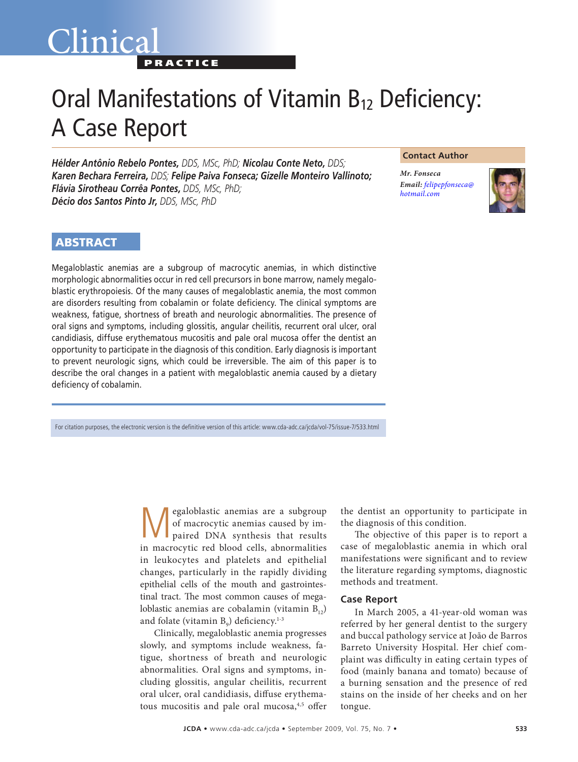## Clinica **PRACTICE**

# Oral Manifestations of Vitamin B<sub>12</sub> Deficiency: A Case Report

*Hélder Antônio Rebelo Pontes, DDS, MSc, PhD; Nicolau Conte Neto, DDS; Karen Bechara Ferreira, DDS; Felipe Paiva Fonseca; Gizelle Monteiro Vallinoto; Flávia Sirotheau Corrêa Pontes, DDS, MSc, PhD; Décio dos Santos Pinto Jr, DDS, MSc, PhD*

#### **Contact Author**

*Mr. Fonseca Email: [felipepfonseca@](mailto:felipepfonseca@hotmail.com) hotmail.com*



### ABSTRACT

Megaloblastic anemias are a subgroup of macrocytic anemias, in which distinctive morphologic abnormalities occur in red cell precursors in bone marrow, namely megaloblastic erythropoiesis. Of the many causes of megaloblastic anemia, the most common are disorders resulting from cobalamin or folate deficiency. The clinical symptoms are weakness, fatigue, shortness of breath and neurologic abnormalities. The presence of oral signs and symptoms, including glossitis, angular cheilitis, recurrent oral ulcer, oral candidiasis, diffuse erythematous mucositis and pale oral mucosa offer the dentist an opportunity to participate in the diagnosis of this condition. Early diagnosis is important to prevent neurologic signs, which could be irreversible. The aim of this paper is to describe the oral changes in a patient with megaloblastic anemia caused by a dietary deficiency of cobalamin.

For citation purposes, the electronic version is the definitive version of this article: www.cda-adc.ca/jcda/vol-75/issue-7/533.html

**M**egaloblastic anemias are a subgroup<br>of macrocytic anemias caused by im-<br>paired DNA synthesis that results of macrocytic anemias caused by imin macrocytic red blood cells, abnormalities in leukocytes and platelets and epithelial changes, particularly in the rapidly dividing epithelial cells of the mouth and gastrointestinal tract. The most common causes of megaloblastic anemias are cobalamin (vitamin  $B_{12}$ ) and folate (vitamin  $B_0$ ) deficiency.<sup>1-3</sup>

Clinically, megaloblastic anemia progresses slowly, and symptoms include weakness, fatigue, shortness of breath and neurologic abnormalities. Oral signs and symptoms, including glossitis, angular cheilitis, recurrent oral ulcer, oral candidiasis, diffuse erythematous mucositis and pale oral mucosa,<sup>4,5</sup> offer the dentist an opportunity to participate in the diagnosis of this condition.

The objective of this paper is to report a case of megaloblastic anemia in which oral manifestations were significant and to review the literature regarding symptoms, diagnostic methods and treatment.

#### **Case Report**

In March 2005, a 41-year-old woman was referred by her general dentist to the surgery and buccal pathology service at João de Barros Barreto University Hospital. Her chief complaint was difficulty in eating certain types of food (mainly banana and tomato) because of a burning sensation and the presence of red stains on the inside of her cheeks and on her tongue.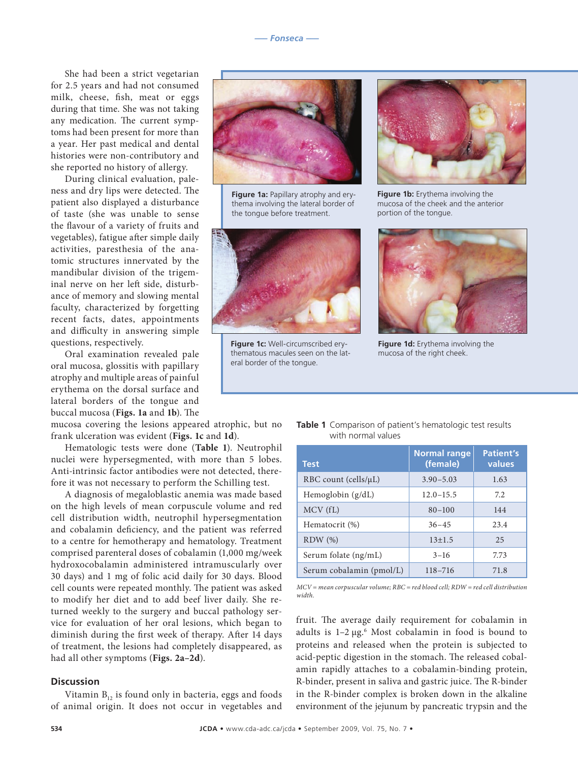She had been a strict vegetarian for 2.5 years and had not consumed milk, cheese, fish, meat or eggs during that time. She was not taking any medication. The current symptoms had been present for more than a year. Her past medical and dental histories were non-contributory and she reported no history of allergy.

During clinical evaluation, paleness and dry lips were detected. The patient also displayed a disturbance of taste (she was unable to sense the flavour of a variety of fruits and vegetables), fatigue after simple daily activities, paresthesia of the anatomic structures innervated by the mandibular division of the trigeminal nerve on her left side, disturbance of memory and slowing mental faculty, characterized by forgetting recent facts, dates, appointments and difficulty in answering simple questions, respectively.

Oral examination revealed pale oral mucosa, glossitis with papillary atrophy and multiple areas of painful erythema on the dorsal surface and lateral borders of the tongue and buccal mucosa (**Figs. 1a** and **1b**). The

mucosa covering the lesions appeared atrophic, but no frank ulceration was evident (**Figs. 1c** and **1d**).

Hematologic tests were done (**Table 1**). Neutrophil nuclei were hypersegmented, with more than 5 lobes. Anti-intrinsic factor antibodies were not detected, therefore it was not necessary to perform the Schilling test.

A diagnosis of megaloblastic anemia was made based on the high levels of mean corpuscule volume and red cell distribution width, neutrophil hypersegmentation and cobalamin deficiency, and the patient was referred to a centre for hemotherapy and hematology. Treatment comprised parenteral doses of cobalamin (1,000 mg/week hydroxocobalamin administered intramuscularly over 30 days) and 1 mg of folic acid daily for 30 days. Blood cell counts were repeated monthly. The patient was asked to modify her diet and to add beef liver daily. She returned weekly to the surgery and buccal pathology service for evaluation of her oral lesions, which began to diminish during the first week of therapy. After 14 days of treatment, the lesions had completely disappeared, as had all other symptoms (**Figs. 2a–2d**).

#### **Discussion**

Vitamin  $B_{12}$  is found only in bacteria, eggs and foods of animal origin. It does not occur in vegetables and



**Figure 1a:** Papillary atrophy and erythema involving the lateral border of the tongue before treatment.



**Figure 1c:** Well-circumscribed erythematous macules seen on the lateral border of the tongue.



**Figure 1b:** Erythema involving the mucosa of the cheek and the anterior portion of the tongue.



**Figure 1d:** Erythema involving the mucosa of the right cheek.

| <b>Test</b>                | <b>Normal range</b><br>(female) | <b>Patient's</b><br>values |
|----------------------------|---------------------------------|----------------------------|
| RBC count (cells/ $\mu$ L) | $3.90 - 5.03$                   | 1.63                       |
| Hemoglobin (g/dL)          | $12.0 - 15.5$                   | 7.2                        |
| MCV (fL)                   | $80 - 100$                      | 144                        |
| Hematocrit (%)             | $36 - 45$                       | 23.4                       |
| RDW(%)                     | $13+1.5$                        | 25                         |
| Serum folate (ng/mL)       | $3 - 16$                        | 7.73                       |
| Serum cobalamin (pmol/L)   | $118 - 716$                     | 71.8                       |

Table 1 Comparison of patient's hematologic test results

with normal values

*MCV = mean corpuscular volume; RBC = red blood cell; RDW = red cell distribution width.*

fruit. The average daily requirement for cobalamin in adults is 1-2  $\mu$ g.<sup>6</sup> Most cobalamin in food is bound to proteins and released when the protein is subjected to acid-peptic digestion in the stomach. The released cobalamin rapidly attaches to a cobalamin-binding protein, R-binder, present in saliva and gastric juice. The R-binder in the R-binder complex is broken down in the alkaline environment of the jejunum by pancreatic trypsin and the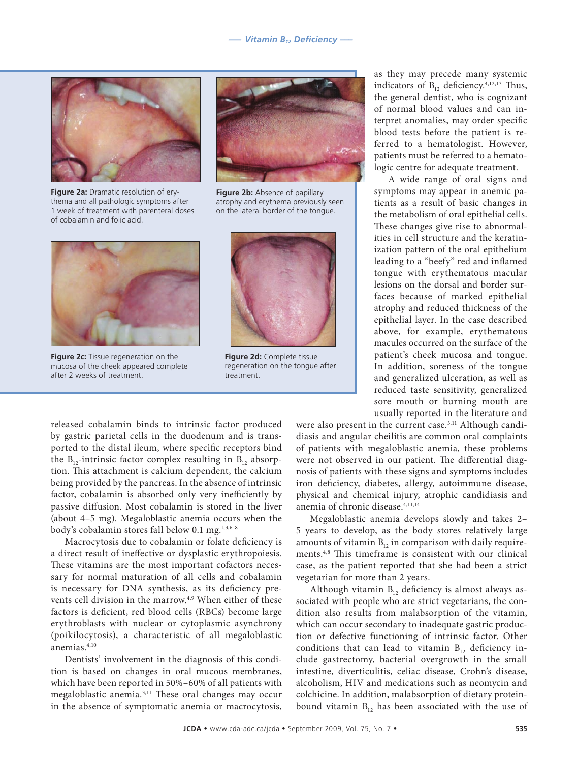

**Figure 2a:** Dramatic resolution of erythema and all pathologic symptoms after 1 week of treatment with parenteral doses of cobalamin and folic acid.



**Figure 2b:** Absence of papillary atrophy and erythema previously seen on the lateral border of the tongue.



**Figure 2c:** Tissue regeneration on the mucosa of the cheek appeared complete after 2 weeks of treatment.



**Figure 2d:** Complete tissue regeneration on the tongue after treatment.

released cobalamin binds to intrinsic factor produced by gastric parietal cells in the duodenum and is transported to the distal ileum, where specific receptors bind the  $B_{12}$ -intrinsic factor complex resulting in  $B_{12}$  absorption. This attachment is calcium dependent, the calcium being provided by the pancreas. In the absence of intrinsic factor, cobalamin is absorbed only very inefficiently by passive diffusion. Most cobalamin is stored in the liver (about 4–5 mg). Megaloblastic anemia occurs when the body's cobalamin stores fall below 0.1 mg.1,3,6-8

Macrocytosis due to cobalamin or folate deficiency is a direct result of ineffective or dysplastic erythropoiesis. These vitamins are the most important cofactors necessary for normal maturation of all cells and cobalamin is necessary for DNA synthesis, as its deficiency prevents cell division in the marrow.<sup>4,9</sup> When either of these factors is deficient, red blood cells (RBCs) become large erythroblasts with nuclear or cytoplasmic asynchrony (poikilocytosis), a characteristic of all megaloblastic anemias.4,10

Dentists' involvement in the diagnosis of this condition is based on changes in oral mucous membranes, which have been reported in 50%–60% of all patients with megaloblastic anemia.3,11 These oral changes may occur in the absence of symptomatic anemia or macrocytosis,

as they may precede many systemic indicators of  $B_{12}$  deficiency.<sup>4,12,13</sup> Thus, the general dentist, who is cognizant of normal blood values and can interpret anomalies, may order specific blood tests before the patient is referred to a hematologist. However, patients must be referred to a hematologic centre for adequate treatment.

A wide range of oral signs and symptoms may appear in anemic patients as a result of basic changes in the metabolism of oral epithelial cells. These changes give rise to abnormalities in cell structure and the keratinization pattern of the oral epithelium leading to a "beefy" red and inflamed tongue with erythematous macular lesions on the dorsal and border surfaces because of marked epithelial atrophy and reduced thickness of the epithelial layer. In the case described above, for example, erythematous macules occurred on the surface of the patient's cheek mucosa and tongue. In addition, soreness of the tongue and generalized ulceration, as well as reduced taste sensitivity, generalized sore mouth or burning mouth are usually reported in the literature and

were also present in the current case.<sup>3,11</sup> Although candidiasis and angular cheilitis are common oral complaints of patients with megaloblastic anemia, these problems were not observed in our patient. The differential diagnosis of patients with these signs and symptoms includes iron deficiency, diabetes, allergy, autoimmune disease, physical and chemical injury, atrophic candidiasis and anemia of chronic disease.<sup>4,11,14</sup>

Megaloblastic anemia develops slowly and takes 2– 5 years to develop, as the body stores relatively large amounts of vitamin  $B_{12}$  in comparison with daily requirements.4,8 This timeframe is consistent with our clinical case, as the patient reported that she had been a strict vegetarian for more than 2 years.

Although vitamin  $B_{12}$  deficiency is almost always associated with people who are strict vegetarians, the condition also results from malabsorption of the vitamin, which can occur secondary to inadequate gastric production or defective functioning of intrinsic factor. Other conditions that can lead to vitamin  $B_{12}$  deficiency include gastrectomy, bacterial overgrowth in the small intestine, diverticulitis, celiac disease, Crohn's disease, alcoholism, HIV and medications such as neomycin and colchicine. In addition, malabsorption of dietary proteinbound vitamin  $B_{12}$  has been associated with the use of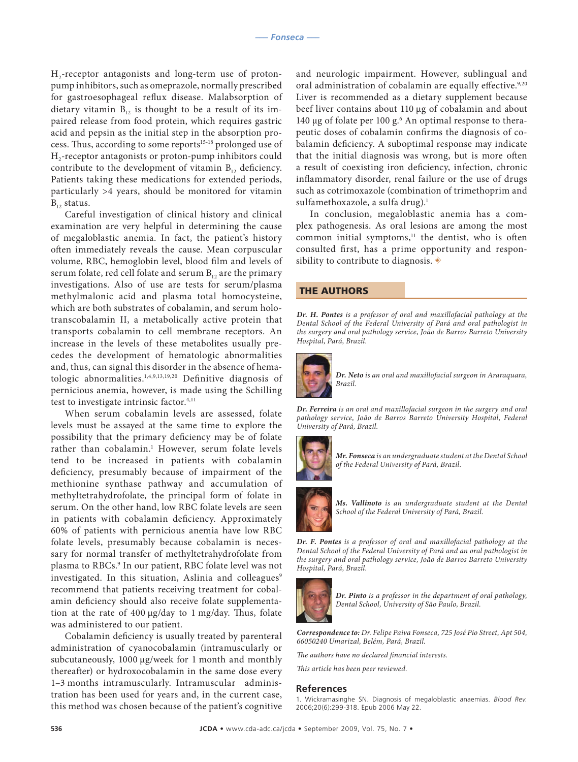$H_2$ -receptor antagonists and long-term use of protonpump inhibitors, such as omeprazole, normally prescribed for gastroesophageal reflux disease. Malabsorption of dietary vitamin  $B_{12}$  is thought to be a result of its impaired release from food protein, which requires gastric acid and pepsin as the initial step in the absorption process. Thus, according to some reports<sup>15-18</sup> prolonged use of  $\rm H_2\mbox{-}receptor$  antagonists or proton-pump inhibitors could contribute to the development of vitamin  $B_{12}$  deficiency. Patients taking these medications for extended periods, particularly >4 years, should be monitored for vitamin  $B_{12}$  status.

Careful investigation of clinical history and clinical examination are very helpful in determining the cause of megaloblastic anemia. In fact, the patient's history often immediately reveals the cause. Mean corpuscular volume, RBC, hemoglobin level, blood film and levels of serum folate, red cell folate and serum  $B_{12}$  are the primary investigations. Also of use are tests for serum/plasma methylmalonic acid and plasma total homocysteine, which are both substrates of cobalamin, and serum holotranscobalamin II, a metabolically active protein that transports cobalamin to cell membrane receptors. An increase in the levels of these metabolites usually precedes the development of hematologic abnormalities and, thus, can signal this disorder in the absence of hematologic abnormalities.1,4,9,13,19,20 Definitive diagnosis of pernicious anemia, however, is made using the Schilling test to investigate intrinsic factor.<sup>4,11</sup>

When serum cobalamin levels are assessed, folate levels must be assayed at the same time to explore the possibility that the primary deficiency may be of folate rather than cobalamin.<sup>1</sup> However, serum folate levels tend to be increased in patients with cobalamin deficiency, presumably because of impairment of the methionine synthase pathway and accumulation of methyltetrahydrofolate, the principal form of folate in serum. On the other hand, low RBC folate levels are seen in patients with cobalamin deficiency. Approximately 60% of patients with pernicious anemia have low RBC folate levels, presumably because cobalamin is necessary for normal transfer of methyltetrahydrofolate from plasma to RBCs.9 In our patient, RBC folate level was not investigated. In this situation, Aslinia and colleagues<sup>9</sup> recommend that patients receiving treatment for cobalamin deficiency should also receive folate supplementation at the rate of 400 µg/day to 1 mg/day. Thus, folate was administered to our patient.

Cobalamin deficiency is usually treated by parenteral administration of cyanocobalamin (intramuscularly or subcutaneously, 1000 μg/week for 1 month and monthly thereafter) or hydroxocobalamin in the same dose every 1–3 months intramuscularly. Intramuscular administration has been used for years and, in the current case, this method was chosen because of the patient's cognitive and neurologic impairment. However, sublingual and oral administration of cobalamin are equally effective.<sup>9,20</sup> Liver is recommended as a dietary supplement because beef liver contains about 110 µg of cobalamin and about 140 µg of folate per 100 g.<sup>6</sup> An optimal response to therapeutic doses of cobalamin confirms the diagnosis of cobalamin deficiency. A suboptimal response may indicate that the initial diagnosis was wrong, but is more often a result of coexisting iron deficiency, infection, chronic inflammatory disorder, renal failure or the use of drugs such as cotrimoxazole (combination of trimethoprim and sulfamethoxazole, a sulfa drug).<sup>1</sup>

In conclusion, megaloblastic anemia has a complex pathogenesis. As oral lesions are among the most common initial symptoms,<sup>11</sup> the dentist, who is often consulted first, has a prime opportunity and responsibility to contribute to diagnosis.  $\dot{\mathscr{D}}$ 

#### THE AUTHORS

*Dr. H. Pontes is a professor of oral and maxillofacial pathology at the Dental School of the Federal University of Pará and oral pathologist in the surgery and oral pathology service, João de Barros Barreto University Hospital, Pará, Brazil.*



*Dr. Neto is an oral and maxillofacial surgeon in Araraquara, Brazil.*

*Dr. Ferreira is an oral and maxillofacial surgeon in the surgery and oral pathology service, João de Barros Barreto University Hospital, Federal University of Pará, Brazil.*



*Mr. Fonseca is an undergraduate student at the Dental School of the Federal University of Pará, Brazil.*



*Ms. Vallinoto is an undergraduate student at the Dental School of the Federal University of Pará, Brazil.*

*Dr. F. Pontes is a professor of oral and maxillofacial pathology at the Dental School of the Federal University of Pará and an oral pathologist in the surgery and oral pathology service, João de Barros Barreto University Hospital, Pará, Brazil.*



*Dr. Pinto is a professor in the department of oral pathology, Dental School, University of São Paulo, Brazil.*

*Correspondence to: Dr. Felipe Paiva Fonseca, 725 José Pio Street, Apt 504, 66050240 Umarizal, Belém, Pará, Brazil.*

*The authors have no declared financial interests.*

*This article has been peer reviewed.*

#### **References**

1. Wickramasinghe SN. Diagnosis of megaloblastic anaemias. *Blood Rev.*  2006;20(6):299-318. Epub 2006 May 22.